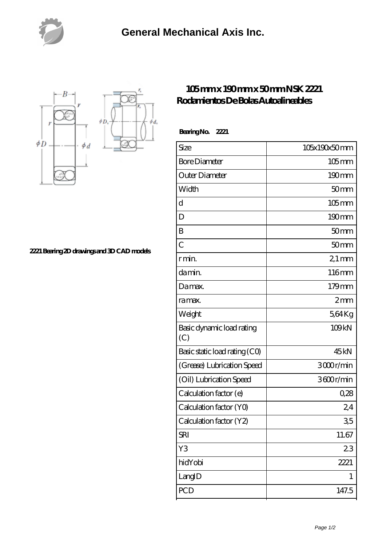



**[2221 Bearing 2D drawings and 3D CAD models](https://nfbxa.com/pic-64784981.html)**

## **[105 mm x 190 mm x 50 mm NSK 2221](https://nfbxa.com/au-64784981-nsk-2221-rodamientos-de-bolas-autoalineables.html) [Rodamientos De Bolas Autoalineables](https://nfbxa.com/au-64784981-nsk-2221-rodamientos-de-bolas-autoalineables.html)**

| Bearing No. 2221                 |                    |
|----------------------------------|--------------------|
| Size                             | 105x190x50mm       |
| <b>Bore Diameter</b>             | $105$ mm           |
| Outer Diameter                   | 190mm              |
| Width                            | 50mm               |
| d                                | $105$ mm           |
| D                                | $190 \text{mm}$    |
| B                                | 50 <sub>mm</sub>   |
| $\overline{C}$                   | 50 <sub>mm</sub>   |
| r min.                           | $21 \,\mathrm{mm}$ |
| da min.                          | 116mm              |
| Damax.                           | 179mm              |
| ra max.                          | 2mm                |
| Weight                           | 564Kg              |
| Basic dynamic load rating<br>(C) | 109 <sub>kN</sub>  |
| Basic static load rating (CO)    | 45 <sub>kN</sub>   |
| (Grease) Lubrication Speed       | 3000r/min          |
| (Oil) Lubrication Speed          | 3600r/min          |
| Calculation factor (e)           | 0,28               |
| Calculation factor (YO)          | 24                 |
| Calculation factor (Y2)          | 35                 |
| <b>SRI</b>                       | 11.67              |
| Y3                               | 23                 |
| hidYobi                          | 2221               |
| LangID                           | 1                  |
| PCD                              | 147.5              |